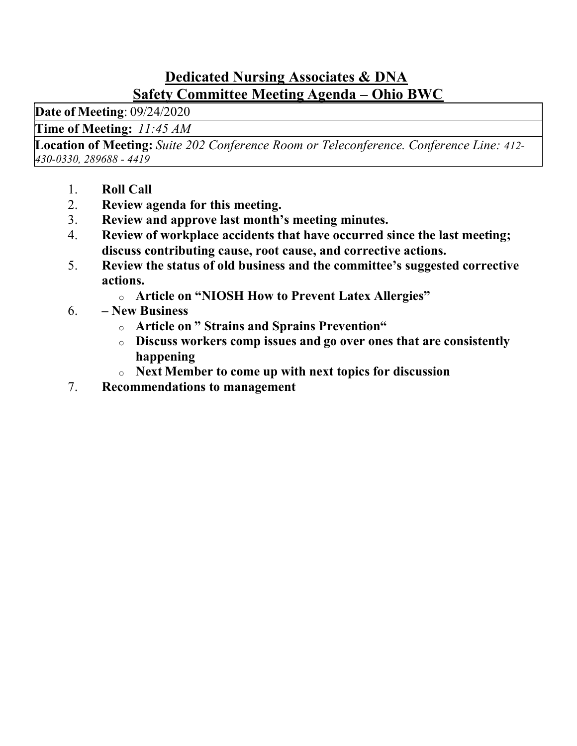## Dedicated Nursing Associates & DNA Safety Committee Meeting Agenda – Ohio BWC

Date of Meeting: 09/24/2020

Time of Meeting: 11:45 AM

Location of Meeting: Suite 202 Conference Room or Teleconference. Conference Line: 412- 430-0330, 289688 - 4419

- 1. Roll Call
- 2. Review agenda for this meeting.
- 3. Review and approve last month's meeting minutes.
- 4. Review of workplace accidents that have occurred since the last meeting; discuss contributing cause, root cause, and corrective actions.
- 5. Review the status of old business and the committee's suggested corrective actions.
	- o Article on "NIOSH How to Prevent Latex Allergies"
- 6. New Business
	- o Article on " Strains and Sprains Prevention"
	- o Discuss workers comp issues and go over ones that are consistently happening
	- o Next Member to come up with next topics for discussion
- 7. Recommendations to management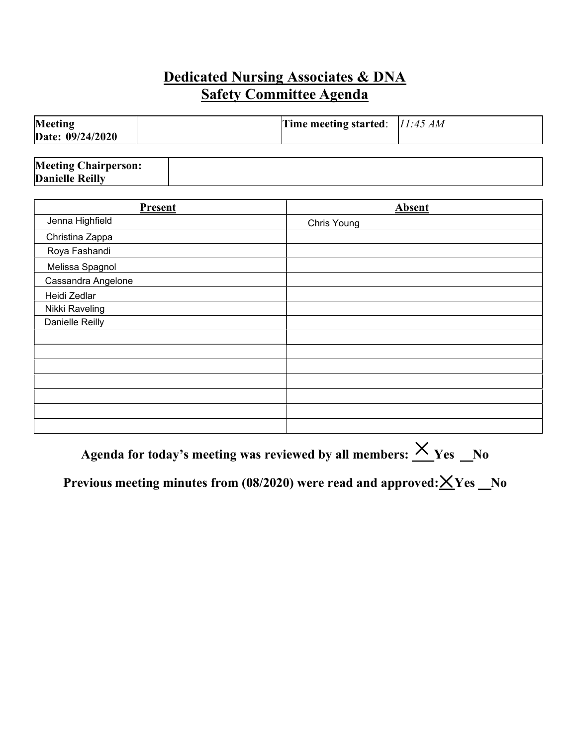## Dedicated Nursing Associates & DNA  Safety Committee Agenda

| Meeting          | Time meeting started: $11:45 AM$ |  |
|------------------|----------------------------------|--|
| Date: 09/24/2020 |                                  |  |

| Present            | Absent      |
|--------------------|-------------|
| Jenna Highfield    | Chris Young |
| Christina Zappa    |             |
| Roya Fashandi      |             |
| Melissa Spagnol    |             |
| Cassandra Angelone |             |
| Heidi Zedlar       |             |
| Nikki Raveling     |             |
| Danielle Reilly    |             |
|                    |             |
|                    |             |
|                    |             |
|                    |             |
|                    |             |
|                    |             |
|                    |             |

Agenda for today's meeting was reviewed by all members:  $\times$  Yes  $\_\,$ No

Previous meeting minutes from (08/2020) were read and approved: ${\times}$ Yes \_No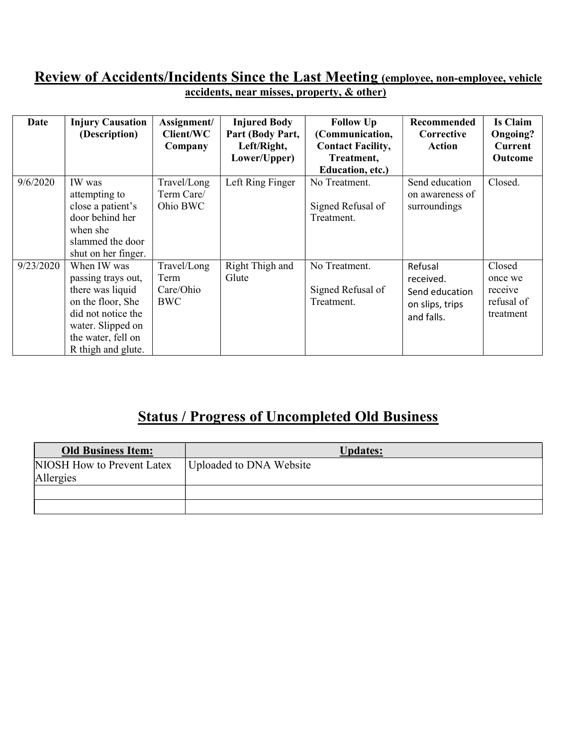#### Review of Accidents/Incidents Since the Last Meeting (employee, non-employee, vehicle accidents, near misses, property, & other)

| Date      | <b>Injury Causation</b><br>(Description)                                                                                                                          | Assignment/<br>Client/WC<br>Company            | <b>Injured Body</b><br>Part (Body Part,<br>Left/Right,<br>Lower/Upper) | <b>Follow Up</b><br>(Communication,<br><b>Contact Facility,</b><br>Treatment,<br>Education, etc.) | Recommended<br>Corrective<br>Action                                     | <b>Is Claim</b><br>Ongoing?<br><b>Current</b><br>Outcome |
|-----------|-------------------------------------------------------------------------------------------------------------------------------------------------------------------|------------------------------------------------|------------------------------------------------------------------------|---------------------------------------------------------------------------------------------------|-------------------------------------------------------------------------|----------------------------------------------------------|
| 9/6/2020  | IW was<br>attempting to<br>close a patient's<br>door behind her<br>when she<br>slammed the door<br>shut on her finger.                                            | Travel/Long<br>Term Care/<br>Ohio BWC          | Left Ring Finger                                                       | No Treatment.<br>Signed Refusal of<br>Treatment.                                                  | Send education<br>on awareness of<br>surroundings                       | Closed.                                                  |
| 9/23/2020 | When IW was<br>passing trays out,<br>there was liquid<br>on the floor, She<br>did not notice the<br>water. Slipped on<br>the water, fell on<br>R thigh and glute. | Travel/Long<br>Term<br>Care/Ohio<br><b>BWC</b> | Right Thigh and<br>Glute                                               | No Treatment.<br>Signed Refusal of<br>Treatment.                                                  | Refusal<br>received.<br>Send education<br>on slips, trips<br>and falls. | Closed<br>once we<br>receive<br>refusal of<br>treatment  |

# Status / Progress of Uncompleted Old Business

| <b>Old Business Item:</b>  | <b>Updates:</b>         |
|----------------------------|-------------------------|
| NIOSH How to Prevent Latex | Uploaded to DNA Website |
| Allergies                  |                         |
|                            |                         |
|                            |                         |